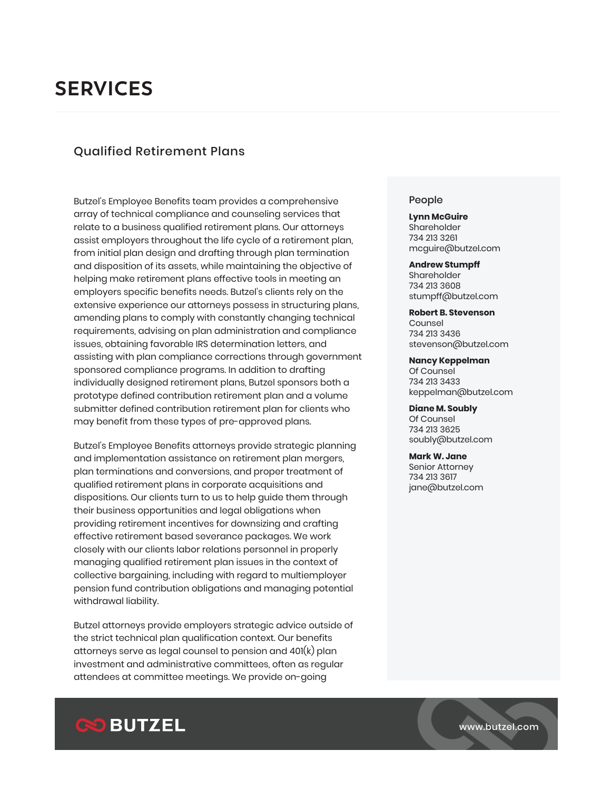# **SERVICES**

# Qualified Retirement Plans

Butzel's Employee Benefits team provides a comprehensive array of technical compliance and counseling services that relate to a business qualified retirement plans. Our attorneys assist employers throughout the life cycle of a retirement plan, from initial plan design and drafting through plan termination and disposition of its assets, while maintaining the objective of helping make retirement plans effective tools in meeting an employers specific benefits needs. Butzel's clients rely on the extensive experience our attorneys possess in structuring plans, amending plans to comply with constantly changing technical requirements, advising on plan administration and compliance issues, obtaining favorable IRS determination letters, and assisting with plan compliance corrections through government sponsored compliance programs. In addition to drafting individually designed retirement plans, Butzel sponsors both a prototype defined contribution retirement plan and a volume submitter defined contribution retirement plan for clients who may benefit from these types of pre-approved plans.

Butzel's Employee Benefits attorneys provide strategic planning and implementation assistance on retirement plan mergers, plan terminations and conversions, and proper treatment of qualified retirement plans in corporate acquisitions and dispositions. Our clients turn to us to help guide them through their business opportunities and legal obligations when providing retirement incentives for downsizing and crafting effective retirement based severance packages. We work closely with our clients labor relations personnel in properly managing qualified retirement plan issues in the context of collective bargaining, including with regard to multiemployer pension fund contribution obligations and managing potential withdrawal liability.

Butzel attorneys provide employers strategic advice outside of the strict technical plan qualification context. Our benefits attorneys serve as legal counsel to pension and 401(k) plan investment and administrative committees, often as regular attendees at committee meetings. We provide on-going

## People

**Lynn McGuire** Shareholder 734 213 3261 mcguire@butzel.com

#### **Andrew Stumpff**

Shareholder 734 213 3608 stumpff@butzel.com

**Robert B. Stevenson**

Counsel 734 213 3436 stevenson@butzel.com

#### **Nancy Keppelman**

Of Counsel 734 213 3433 keppelman@butzel.com

## **Diane M. Soubly**

Of Counsel 734 213 3625 soubly@butzel.com

## **Mark W. Jane**

Senior Attorney 734 213 3617 jane@butzel.com